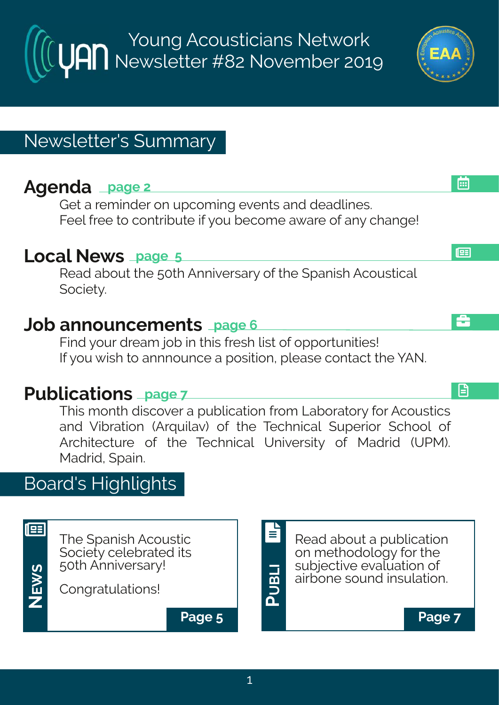Young Acousticians Network Newsletter #82 November 2019

# Newsletter's Summary

# **Agenda page 2**

Get a reminder on upcoming events and deadlines. Feel free to contribute if you become aware of any change!

### **Local News page 5**

Read about the 50th Anniversary of the Spanish Acoustical Society.

### **Job announcements page 6**

Find your dream job in this fresh list of opportunities! If you wish to annnounce a position, please contact the YAN.

## **Publications page 7**

This month discover a publication from Laboratory for Acoustics and Vibration (Arquilav) of the Technical Superior School of Architecture of the Technical University of Madrid (UPM). Madrid, Spain.

## Board's Highlights

The Spanish Acoustic Society celebrated its 50th Anniversary!

Congratulations!

**NEWS**

193

**Page 5 Page 7**

Read about a publication on methodology for the subjective evaluation of airbone sound insulation. E

画

£

日

**PUBLI**

E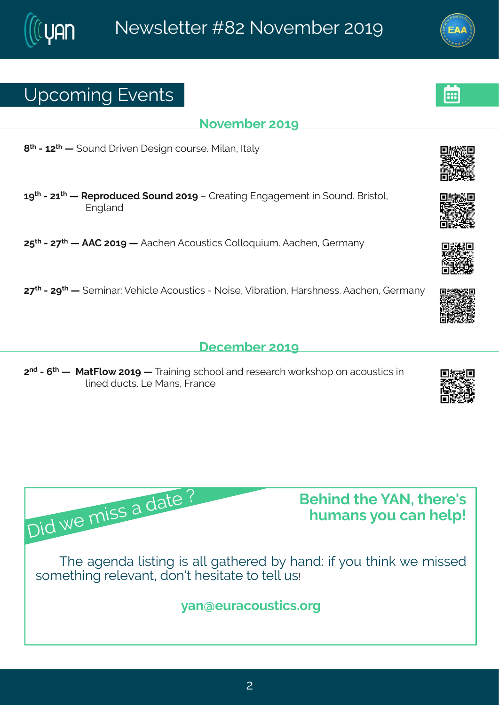# Yt gsq mk#zi r xw

#### Sszigfiw#56>

 $=$ <sup>\*</sup> #2467<sup>\*</sup> # # syrh# vnzir# i whar#gsywi3R meer#Akep}

6>  $\frac{d}{dx}$  #2476 4 # 41 # 10 tvshygih#syrh#756># #Hviexnnk#Jrkekiq irx#nn#syrh3#Gwnwsp1# Jrkperh

7:  $\frac{\cancel{1}}{2}$  # # FFH # 756 > # # Fegl i r # Fgsyw mg w # Hsppsuy my q 3 Fegl i r 14 Livg er }

7<<sup>x|</sup> #2#7><sup>x|</sup> # # i q meV#Zilmgpi#Fgsywmgw#2#Ssmwi #Zmfwexmsr#Mewl riww. WFeglir#Livq er }

#### ligiq fiv#56>

7<sup>rh</sup>#2#<sup>x|</sup> # #RexKps{ #756># #Xvemmk#vglssp#erh#viwievgl# svowlst#sr#egsywxngw#m# pni h#nygxw3G #Rerw#Kvergi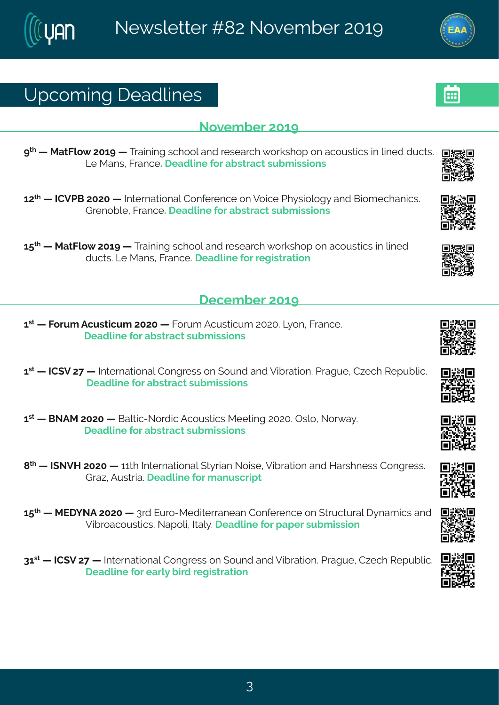## Yt gsq mk# i ehpni w

#### Sszigfi $\sqrt{4756}$

> # # RexKos{ #756># # Xvem m k# walss# erh# i wieval# svowlst#sr#easyw man w# m # m h # h v axw # Q #Rerw#Kwergi # i ehpmi #sw#efwwegx#wyfg mww.nsrw

 $67^{\text{th}}$  # #HHZUG#7575# #Nhaivrexnsrep#Hsrjivirgi#sr#Zsmoj#Ul}wnspsk}#erh#Gnsqiglermow \$# Lvirsf pi #Kvergi # i ehpni #sv#ef wwegx#w f g mwnsrw

6:  $\frac{1}{4}$  # RexKps{ #756># # Xem m k# wgl ssp#er h# i wievgl # svowl st #sr#egsywwngw#m#pm i h# hygxword #Rerw#Kwergi # i ehpni #sw#i knowwexman

ligig fiv#56>

6<sup>w</sup> # # Ksw q # Fgywxngy q # 7575 # # Ksw q # Fgywxngy q # 7575  $\frac{20}{100}$  sr # Kwer gi 3 I i ehpni #sv#ef wwegx#w f g mwnsr w

6 44 #HH (Z#7<# #Naxivrexmsrep#Hsrkviww#sr#syrh#erh#Zmfivexmsr3#Jvekyi#H~igl#N/tyfpmg3 # i ehpni #sv#ef wwegx#w f g mwnsr w

6<sup>w</sup> # # £ SFR # 7575 # # £ epxnot 2 Ss vhnot # crs v www.orw # R i i xnnk # 7575 \$ # Twos # \$ sv(e) \$ # I i ehpni #swef wwegx#wyf q mwnsr w

 $=$ <sup>\*</sup> #  $\#$ N SZM#7575# #66x1 #Nxivrexmsrep#(x) wner#Ssmwi#Zmfnvexmsr#erh#Mew Iriww#Hsrkviww3# Lve-#Fyww.me3# i ehpni#sv#q er ywgwthx

6:  $\frac{1}{4}$  #RJI] SF#7575# #8 \h#Jy \s2Rihma werier#Hsrjivirgi#sr#(xvygxyvep#}req mgw#erh# Zmívsegsywordw \$Set spr#Nep} 3# i ehpni#sv# et i v#w f g mwnsn

86 44 #HH (Z#7<# #Nixivrexmsrep#Hsrkviww#sr#syrh#erh#Zmfvexmsr3#Lvekyi#H~igl#Wityfpmg3# I i ehpni #sv# evp}# m/h#i kmww.exmsr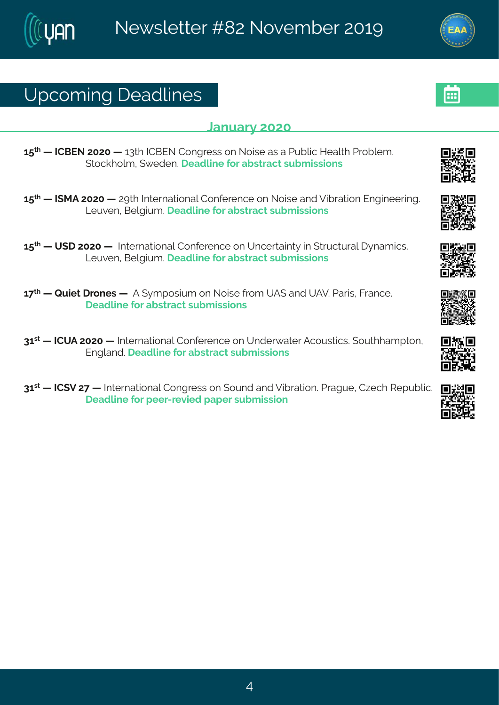# Yt gsq mk# i ehpni w

#### Cervey  $#575$

6: \* # #HHGJS#7575# #68x1 #HHGJS#Hsrkviww#sr#Ssmwi#ew#e#Llvfpmod#Miepol#Llvsfpiq 3# (xsgolspot # { i hir 3 # i ehpni# swtef www.eqx#wyfq mww.nsrw

6:  $\frac{d}{dx}$  #1 #NRF#7575# #7>xl#Nxivrexmsrep#Hsrjivirgi#sr#Ssmwi#erh #Zmfvexmsr#Jrkmniivm.k 3# Q yzir 14Gipkmyq 3 i ehpni #sv#ef wweqx#wyfq mww.sarw

6:  $*$  #  $#$  (1  $#$ 575 #  $#$ N)  $*$  w exps rep#-lsrjivingi#sn  $#$ n giveenn $*$   $#$ n $#$  xvgxyvep# } req mgw $#$ Q yzi r #Gi pkmyq 3 i ehpmi #sv#ef wwegx#wyf q mww.sr w

6 < \* # #Vymix #vsriw # # F# }qtswmyq#sr#Ssmwi#wsq#YF(#erh#YFZ3#Jewnw1#Kwergi3# I i ehpni #sv#ef wwegx#wyf q mwnsr w

86 \*\* #HHYF#7575# #Nixivrexmsrep#Hsrjivirgi#sr#Yrhiv{exiv#Fgsywxmgw3#(syxlleqtxsr# Jrkperh 3 i ehpni #sv#ef wwegx#wyfg mwnsarw

86 4 #HH (Z#7<# #Nixivrexmsrep#Hsrkviww#sr#syrh#erh#Zmfvexmsr3#Lvekyi#H~igl#N/tyfpmg3# I i ehmi#sv#i i v2vi zmih#et i v#wyf q mwwnsr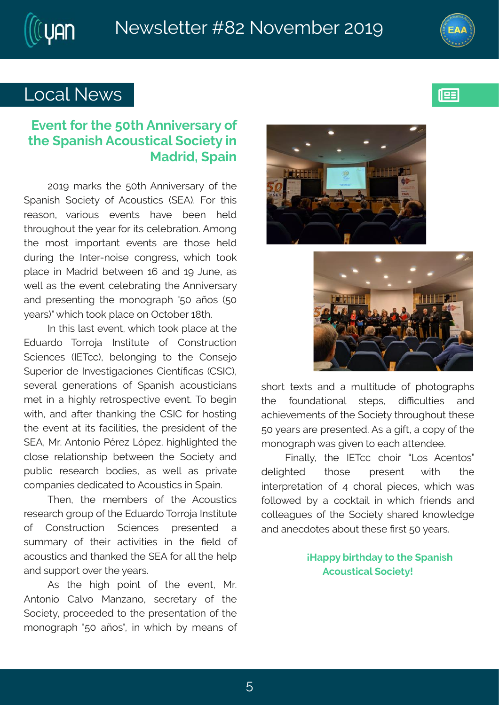



193

# Local News

#### **Event for the 50th Anniversary of the Spanish Acoustical Society in Madrid, Spain**

2019 marks the 50th Anniversary of the Spanish Society of Acoustics (SEA). For this reason, various events have been held throughout the year for its celebration. Among the most important events are those held during the Inter-noise congress, which took place in Madrid between 16 and 19 June, as well as the event celebrating the Anniversary and presenting the monograph "50 años (50 years)" which took place on October 18th.

In this last event, which took place at the Eduardo Torroja Institute of Construction Sciences (IETcc), belonging to the Consejo Superior de Investigaciones Científicas (CSIC), several generations of Spanish acousticians met in a highly retrospective event. To begin with, and after thanking the CSIC for hosting the event at its facilities, the president of the SEA, Mr. Antonio Pérez López, highlighted the close relationship between the Society and public research bodies, as well as private companies dedicated to Acoustics in Spain.

Then, the members of the Acoustics research group of the Eduardo Torroja Institute of Construction Sciences presented a summary of their activities in the field of acoustics and thanked the SEA for all the help and support over the years.

As the high point of the event, Mr. Antonio Calvo Manzano, secretary of the Society, proceeded to the presentation of the monograph "50 años", in which by means of





short texts and a multitude of photographs the foundational steps, difficulties and achievements of the Society throughout these 50 years are presented. As a gift, a copy of the monograph was given to each attendee.

Finally, the IETcc choir "Los Acentos" delighted those present with the interpretation of 4 choral pieces, which was followed by a cocktail in which friends and colleagues of the Society shared knowledge and anecdotes about these first 50 years.

#### **¡Happy birthday to the Spanish Acoustical Society!**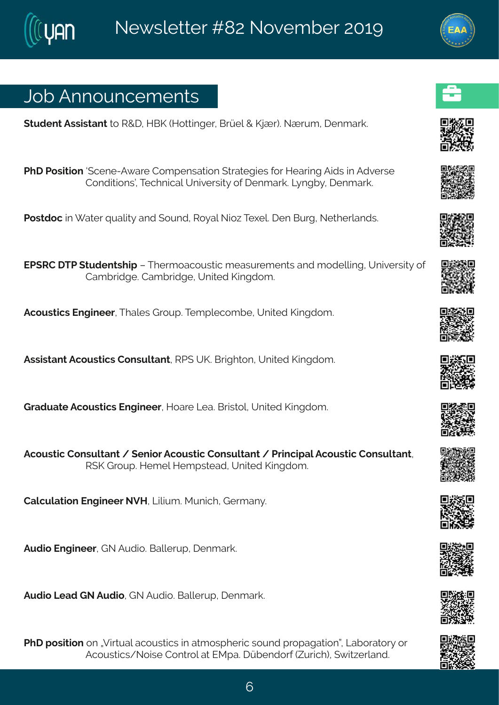# Gof #Frrsyrgiq ir xw

(xyhirx#Fww.mw.erx#xs#W+I1#MGP#Msxxmnkiv#Gvãip#+#PnÌv.3#SÌvyq1#lirqevo3

 $#$ 

UII#Uswomsr#(giri2F{evi#Hsqtirwexmsr#xvexikmiw#sv4Mievnnk#Fnhw#m#Fhziwi# Hsrhmansrwölð kíglrmgepfyrnzi wun);#sj#irgevo 34Q rkf} #lirgevo 3

Uswhsq#m# exiv#uyepox}#erh#syrh#Ws}ep#Sns~#Xilip\$#ir#Gyvk#Sixliyoerhw3

JU (WH#XU#xyhirxwlmt##Xlivqsegsywxng#qiewyviqirxw#erh#qshippmk1#Yrmziwnx)#sj# Heq f whiki 3Heq f whiki 14Yr mai h#Pnnkhsa 3

Fasywamow#Jrk.miiv#Xleoiw#Lvsyt33Xiqtoiqsqfi#Yrmaih#Pmkhsq3

Fww.mw.erx#Fgsyw.orgw#Hsrw.ypxerx1#WU(#YP3#Gwhalxsr1#Yrmaih#Pmnkhsq3

Lvehyexi#Fgsywxngw#Jrkmiiv/#Msevi#Qie3#Gwnwsp1#Yrmah#Pmkhsq 3

Fasyword#Hsrwypxerx#4#irmsv#Fasyword#Hsrwypxerx#4#LMmamtep#Fasyword#Hsrwypxerx1# W. P#L vsyt3AMiq ip#Miq twoieh.#Yrmaih.#Pmnkhsq 3

Heppypexms r#l r kmi i v#SZM#Qmmn q 3R y r mgl #L i vq er } 3

Fyhns#Jrkmiiv#LS#Fyhnsi3#Geppiwt#lirgevo3

Fyhra#Q eh#LS#Fyhra#LS#Fyhra3#Geppiwt#lirgevo3

UII# swnxmsr#sr#2Zmwyep#egsywmogw#mn#exq swtliwog#wsyrh#tvstekexmsró#Qefsvexsv}#sv# Fgsywordw4Ssmwi#Hsrxvsp4ex4URte3#äfirhsvj#^yvmol.1#{ma-ivperh3#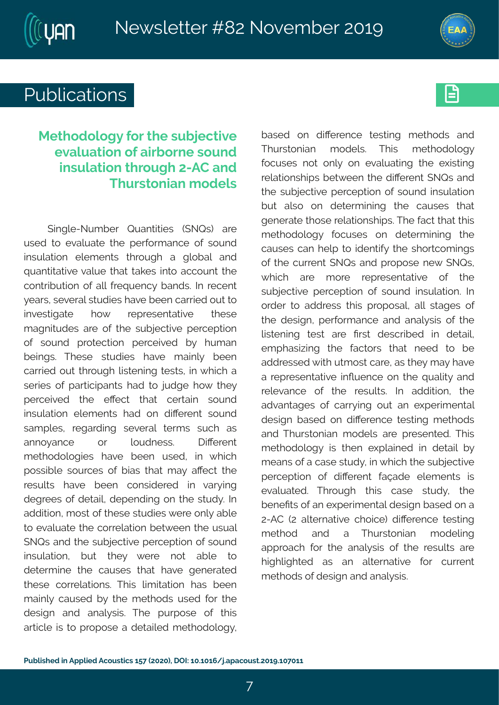



# Publications **Executive**

### **Methodology for the subjective evaluation of airborne sound insulation through 2-AC and Thurstonian models**

Single-Number Quantities (SNQs) are used to evaluate the performance of sound insulation elements through a global and quantitative value that takes into account the contribution of all frequency bands. In recent years, several studies have been carried out to investigate how representative these magnitudes are of the subjective perception of sound protection perceived by human beings. These studies have mainly been carried out through listening tests, in which a series of participants had to judge how they perceived the effect that certain sound insulation elements had on different sound samples, regarding several terms such as annoyance or loudness. Different methodologies have been used, in which possible sources of bias that may affect the results have been considered in varying degrees of detail, depending on the study. In addition, most of these studies were only able to evaluate the correlation between the usual SNQs and the subjective perception of sound insulation, but they were not able to determine the causes that have generated these correlations. This limitation has been mainly caused by the methods used for the design and analysis. The purpose of this article is to propose a detailed methodology,

based on difference testing methods and Thurstonian models. This methodology focuses not only on evaluating the existing relationships between the different SNQs and the subjective perception of sound insulation but also on determining the causes that generate those relationships. The fact that this methodology focuses on determining the causes can help to identify the shortcomings of the current SNQs and propose new SNQs, which are more representative of the subjective perception of sound insulation. In order to address this proposal, all stages of the design, performance and analysis of the listening test are first described in detail, emphasizing the factors that need to be addressed with utmost care, as they may have a representative influence on the quality and relevance of the results. In addition, the advantages of carrying out an experimental design based on difference testing methods and Thurstonian models are presented. This methodology is then explained in detail by means of a case study, in which the subjective perception of different façade elements is evaluated. Through this case study, the benefits of an experimental design based on a 2-AC (2 alternative choice) difference testing method and a Thurstonian modeling approach for the analysis of the results are highlighted as an alternative for current methods of design and analysis.

7